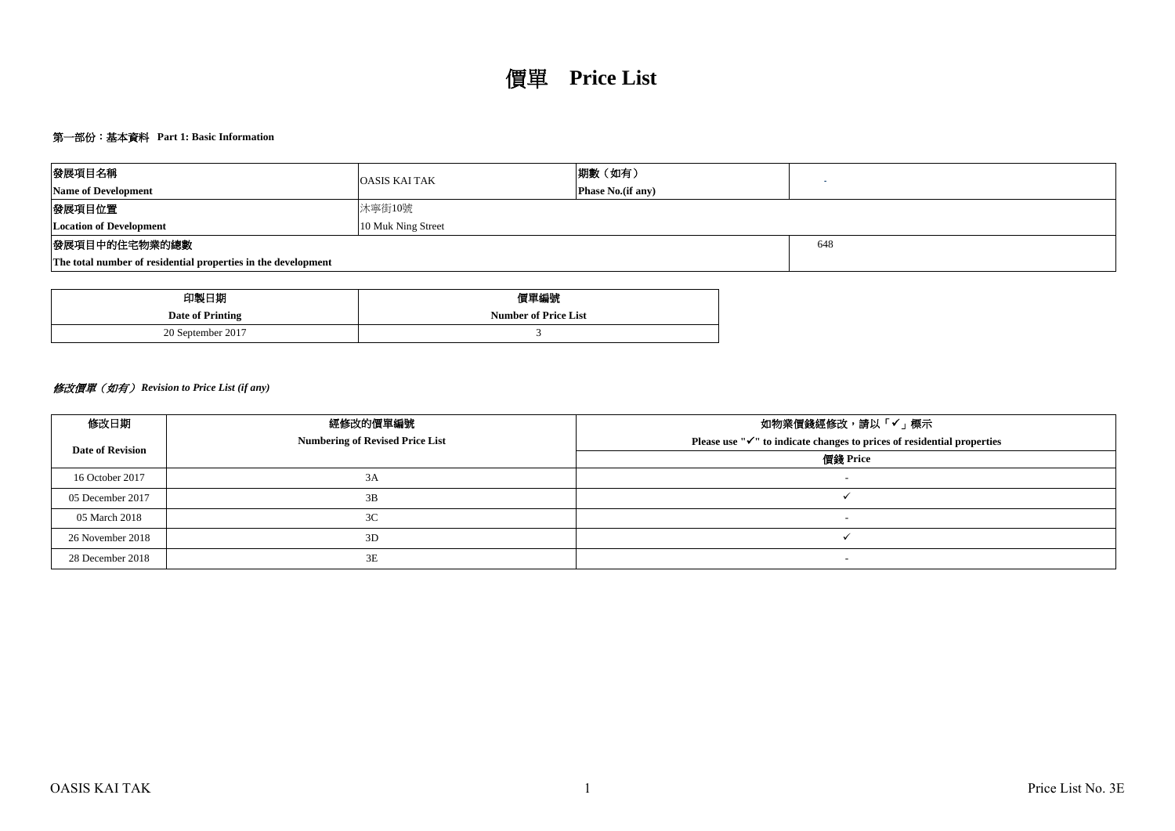# 第一部份:基本資料 **Part 1: Basic Information**

| 發展項目名稱                                                        | <b>OASIS KAI TAK</b> | 期數 (如有)            |  |  |  |  |  |  |
|---------------------------------------------------------------|----------------------|--------------------|--|--|--|--|--|--|
| <b>Name of Development</b>                                    |                      | Phase No. (if any) |  |  |  |  |  |  |
| 發展項目位置                                                        | 沐寧街10號               |                    |  |  |  |  |  |  |
| <b>Location of Development</b>                                | 10 Muk Ning Street   |                    |  |  |  |  |  |  |
| 發展項目中的住宅物業的總數                                                 |                      | 648                |  |  |  |  |  |  |
| The total number of residential properties in the development |                      |                    |  |  |  |  |  |  |

| 印製日期              | 價單編號                        |
|-------------------|-----------------------------|
| Date of Printing  | <b>Number of Price List</b> |
| 20 September 2017 |                             |

# 修改價單(如有) *Revision to Price List (if any)*

| 修改日期             | 經修改的價單編號                               | 如物業價錢經修改,請以「✔」標示                                                                    |
|------------------|----------------------------------------|-------------------------------------------------------------------------------------|
| Date of Revision | <b>Numbering of Revised Price List</b> | Please use " $\checkmark$ " to indicate changes to prices of residential properties |
|                  |                                        | 價錢 Price                                                                            |
| 16 October 2017  | 3A                                     | $\overline{\phantom{a}}$                                                            |
| 05 December 2017 | 3B                                     |                                                                                     |
| 05 March 2018    | 3 <sup>C</sup>                         |                                                                                     |
| 26 November 2018 | 3D                                     |                                                                                     |
| 28 December 2018 | 3E                                     | $\overline{\phantom{a}}$                                                            |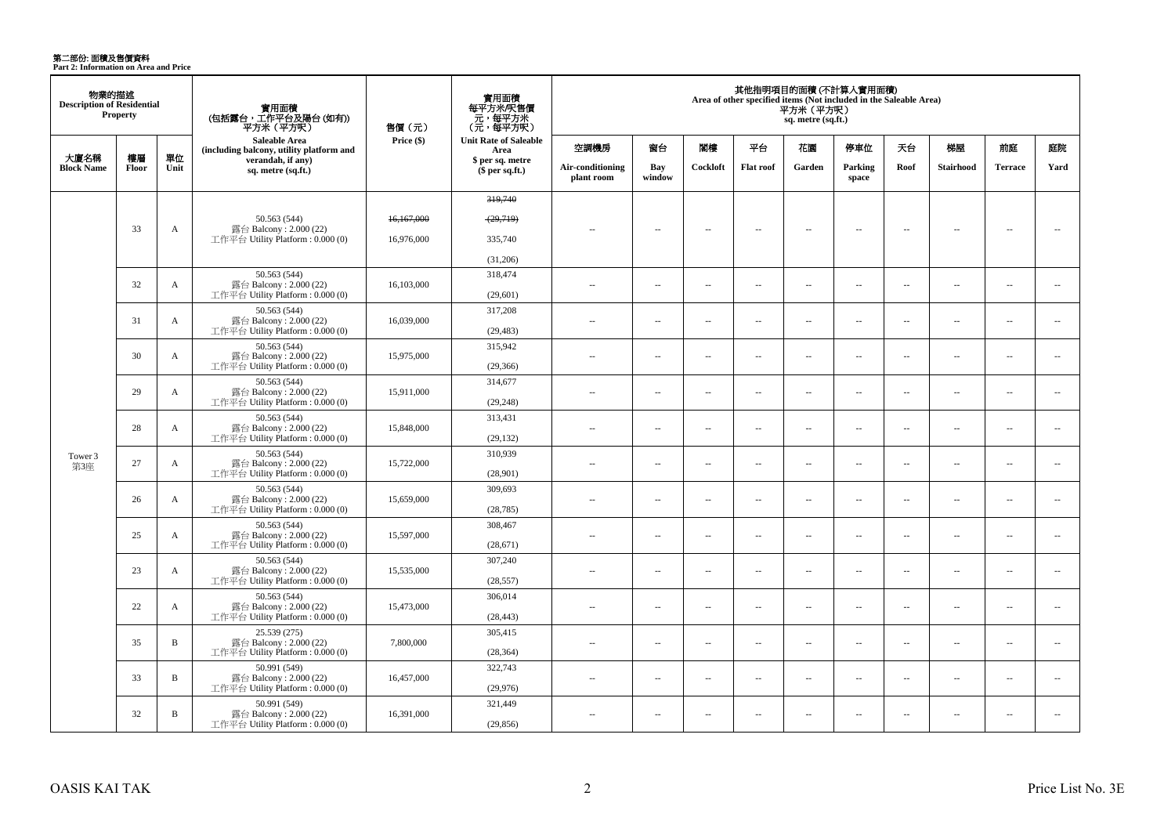**第二部份: 面積及售價資料**<br>Part 2: Information on Area and Price

| 物業的描述<br><b>Description of Residential</b> | <b>Property</b> |              | 實用面積<br>(包括露台,工作平台及陽台 (如有))<br>平方米(平方呎)                                    | 售價 (元)     | 實用面積<br>每平方米/呎售價<br>- 元, 每平方米<br>(元, 每平方呎) |                                |                          |          |                          | 平方米 (平方呎)<br>sq. metre (sq.ft.) | 其他指明項目的面積 (不計算入實用面積)<br>Area of other specified items (Not included in the Saleable Area) |                          |                          |                          |                          |
|--------------------------------------------|-----------------|--------------|----------------------------------------------------------------------------|------------|--------------------------------------------|--------------------------------|--------------------------|----------|--------------------------|---------------------------------|-------------------------------------------------------------------------------------------|--------------------------|--------------------------|--------------------------|--------------------------|
|                                            |                 |              | Saleable Area<br>(including balcony, utility platform and                  | Price (\$) | <b>Unit Rate of Saleable</b><br>Area       | 空調機房                           | 窗台                       | 閣樓       | 平台                       | 花園                              | 停車位                                                                                       | 天台                       | 梯屋                       | 前庭                       | 庭院                       |
| 大廈名稱<br><b>Block Name</b>                  | 樓層<br>Floor     | 單位<br>Unit   | verandah, if any)<br>sq. metre (sq.ft.)                                    |            | \$ per sq. metre<br>\$per sq.ft.)          | Air-conditioning<br>plant room | Bay<br>window            | Cockloft | <b>Flat roof</b>         | Garden                          | Parking<br>space                                                                          | Roof                     | <b>Stairhood</b>         | <b>Terrace</b>           | Yard                     |
|                                            |                 |              |                                                                            |            | 319,740                                    |                                |                          |          |                          |                                 |                                                                                           |                          |                          |                          |                          |
|                                            |                 |              |                                                                            |            |                                            |                                |                          |          |                          |                                 |                                                                                           |                          |                          |                          |                          |
|                                            | 33              | A            | 50.563 (544)<br>露台 Balcony: 2.000 (22)                                     | 16,167,000 | (29,719)                                   | $\overline{a}$                 | $\overline{\phantom{a}}$ | $\sim$   | $\overline{\phantom{a}}$ | $\sim$                          | $\overline{\phantom{a}}$                                                                  | $\overline{\phantom{a}}$ | $\sim$                   | $\overline{\phantom{a}}$ | $\overline{\phantom{a}}$ |
|                                            |                 |              | 工作平台 Utility Platform : 0.000 (0)                                          | 16.976.000 | 335,740                                    |                                |                          |          |                          |                                 |                                                                                           |                          |                          |                          |                          |
|                                            |                 |              |                                                                            |            | (31,206)                                   |                                |                          |          |                          |                                 |                                                                                           |                          |                          |                          |                          |
|                                            | 32              | $\mathbf{A}$ | 50.563 (544)<br>露台 Balcony: 2.000 (22)<br>工作平台 Utility Platform: 0.000 (0) | 16,103,000 | 318,474<br>(29,601)                        | $\sim$                         | $\overline{\phantom{a}}$ | $\sim$   | $\overline{\phantom{a}}$ | $\overline{\phantom{a}}$        | $\overline{\phantom{a}}$                                                                  | $\overline{\phantom{a}}$ | $\sim$                   | $\overline{\phantom{a}}$ | $\overline{\phantom{a}}$ |
|                                            |                 |              | 50.563 (544)                                                               |            | 317,208                                    |                                |                          |          |                          |                                 |                                                                                           |                          |                          |                          |                          |
|                                            | 31              | $\mathbf{A}$ | 露台 Balcony: 2.000 (22)<br>工作平台 Utility Platform: 0.000 (0)                 | 16,039,000 | (29, 483)                                  | $\sim$ $\sim$                  | $\sim$                   | $\sim$   | $\sim$                   | $\sim$                          | $\overline{\phantom{a}}$                                                                  | $\sim$                   | $\sim$                   | $\sim$                   | $\sim$                   |
|                                            | 30              | A            | 50.563 (544)<br>露台 Balcony: 2.000 (22)                                     | 15,975,000 | 315,942                                    | $\sim$                         | $\overline{\phantom{a}}$ | $\sim$   | $\overline{a}$           | $\overline{a}$                  | $\overline{\phantom{a}}$                                                                  | $\overline{\phantom{a}}$ | $\sim$                   | $\sim$                   | $\overline{\phantom{a}}$ |
|                                            |                 |              | 工作平台 Utility Platform: 0.000 (0)                                           |            | (29, 366)                                  |                                |                          |          |                          |                                 |                                                                                           |                          |                          |                          |                          |
|                                            | 29              | $\mathbf{A}$ | 50.563 (544)<br>露台 Balcony: 2.000 (22)                                     | 15,911,000 | 314,677                                    | $\overline{a}$                 | $\overline{\phantom{a}}$ | $\sim$   | μ.                       | $\overline{a}$                  | $\sim$                                                                                    | $\overline{\phantom{a}}$ | $\sim$                   | $\sim$                   | $\overline{\phantom{a}}$ |
|                                            |                 |              | 工作平台 Utility Platform: 0.000 (0)                                           |            | (29, 248)                                  |                                |                          |          |                          |                                 |                                                                                           |                          |                          |                          |                          |
|                                            | 28              | $\mathbf{A}$ | 50.563 (544)<br>露台 Balcony: 2.000 (22)                                     | 15,848,000 | 313,431                                    | $\sim$                         | $\overline{a}$           | $\sim$   | $\sim$                   | $\sim$                          | $\sim$                                                                                    | $\overline{\phantom{a}}$ | $\sim$                   | $\overline{a}$           | $\sim$                   |
|                                            |                 |              | 工作平台 Utility Platform: 0.000 (0)                                           |            | (29, 132)                                  |                                |                          |          |                          |                                 |                                                                                           |                          |                          |                          |                          |
| Tower 3                                    | 27              | $\mathbf{A}$ | 50.563 (544)<br>露台 Balcony: 2.000 (22)                                     | 15,722,000 | 310,939                                    | $\sim$                         | $\sim$                   | $\sim$   | $\sim$                   | $\sim$                          | $\sim$                                                                                    | $\sim$                   | $\sim$                   | $\overline{a}$           | $\sim$                   |
| 第3座                                        |                 |              | 工作平台 Utility Platform : 0.000 (0)                                          |            | (28,901)                                   |                                |                          |          |                          |                                 |                                                                                           |                          |                          |                          |                          |
|                                            | 26              | A            | 50.563 (544)<br>露台 Balcony: 2.000 (22)                                     | 15,659,000 | 309,693                                    | $\overline{a}$                 | $\overline{\phantom{a}}$ | $\sim$   | $\overline{\phantom{a}}$ | $\overline{\phantom{a}}$        | $\overline{\phantom{a}}$                                                                  | $\sim$                   | ÷.                       | $\overline{\phantom{a}}$ | $\sim$                   |
|                                            |                 |              | 工作平台 Utility Platform : $0.000(0)$                                         |            | (28, 785)                                  |                                |                          |          |                          |                                 |                                                                                           |                          |                          |                          |                          |
|                                            | 25              | A            | 50.563 (544)<br>露台 Balcony: 2.000 (22)                                     | 15,597,000 | 308,467                                    | $\overline{a}$                 | $\overline{\phantom{a}}$ | $\sim$   | μ.                       | μ.                              | $\sim$                                                                                    | $\overline{\phantom{a}}$ | ÷.                       | $\overline{\phantom{a}}$ | $\sim$                   |
|                                            |                 |              | 工作平台 Utility Platform : $0.000(0)$                                         |            | (28,671)                                   |                                |                          |          |                          |                                 |                                                                                           |                          |                          |                          |                          |
|                                            | 23              | A            | 50.563 (544)<br>露台 Balcony: 2.000 (22)                                     | 15,535,000 | 307,240                                    | $\sim$                         | $\sim$                   | $\sim$   | $\sim$                   | $\sim$                          | $\sim$                                                                                    | $\overline{\phantom{a}}$ | $\sim$                   | $\overline{a}$           | $\sim$                   |
|                                            |                 |              | 工作平台 Utility Platform : 0.000 (0)                                          |            | (28, 557)                                  |                                |                          |          |                          |                                 |                                                                                           |                          |                          |                          |                          |
|                                            | 22              | A            | 50.563 (544)<br>露台 Balcony: 2.000 (22)                                     | 15,473,000 | 306,014                                    | $\sim$                         | $\sim$                   | $\sim$   | μ.                       | $\sim$                          | $\sim$                                                                                    | $\sim$                   | $\sim$                   | $\sim$                   | $\overline{\phantom{a}}$ |
|                                            |                 |              | 工作平台 Utility Platform: 0.000 (0)                                           |            | (28, 443)                                  |                                |                          |          |                          |                                 |                                                                                           |                          |                          |                          |                          |
|                                            | 35              | $\, {\bf B}$ | 25.539 (275)<br>露台 Balcony: 2.000 (22)                                     | 7,800,000  | 305,415                                    | ÷.                             | $\sim$                   | $\sim$   | μ.                       | μ.                              | $\sim$                                                                                    | $\overline{\phantom{a}}$ | ÷.                       | $\sim$                   | $\sim$                   |
|                                            |                 |              | 工作平台 Utility Platform : $0.000(0)$                                         |            | (28, 364)                                  |                                |                          |          |                          |                                 |                                                                                           |                          |                          |                          |                          |
|                                            | 33              | $\, {\bf B}$ | 50.991 (549)<br>露台 Balcony: 2.000 (22)                                     | 16,457,000 | 322,743                                    | $-$                            | $\overline{\phantom{a}}$ | $\sim$   | $\overline{a}$           | $\overline{\phantom{a}}$        | $\overline{\phantom{a}}$                                                                  | $\overline{\phantom{a}}$ | $\overline{\phantom{a}}$ | $\sim$                   | $\overline{\phantom{a}}$ |
|                                            |                 |              | 工作平台 Utility Platform: 0.000 (0)                                           |            | (29,976)                                   |                                |                          |          |                          |                                 |                                                                                           |                          |                          |                          |                          |
|                                            | 32              | $\, {\bf B}$ | 50.991 (549)<br>露台 Balcony: $2.000(22)$                                    | 16,391,000 | 321,449                                    | $\sim$                         | $\sim$                   | $\sim$   | $\sim$                   | $\sim$                          | $\sim$                                                                                    | $\overline{\phantom{a}}$ | $\sim$                   | $\sim$                   | $\sim$                   |
|                                            |                 |              | 工作平台 Utility Platform: 0.000 (0)                                           |            | (29, 856)                                  |                                |                          |          |                          |                                 |                                                                                           |                          |                          |                          |                          |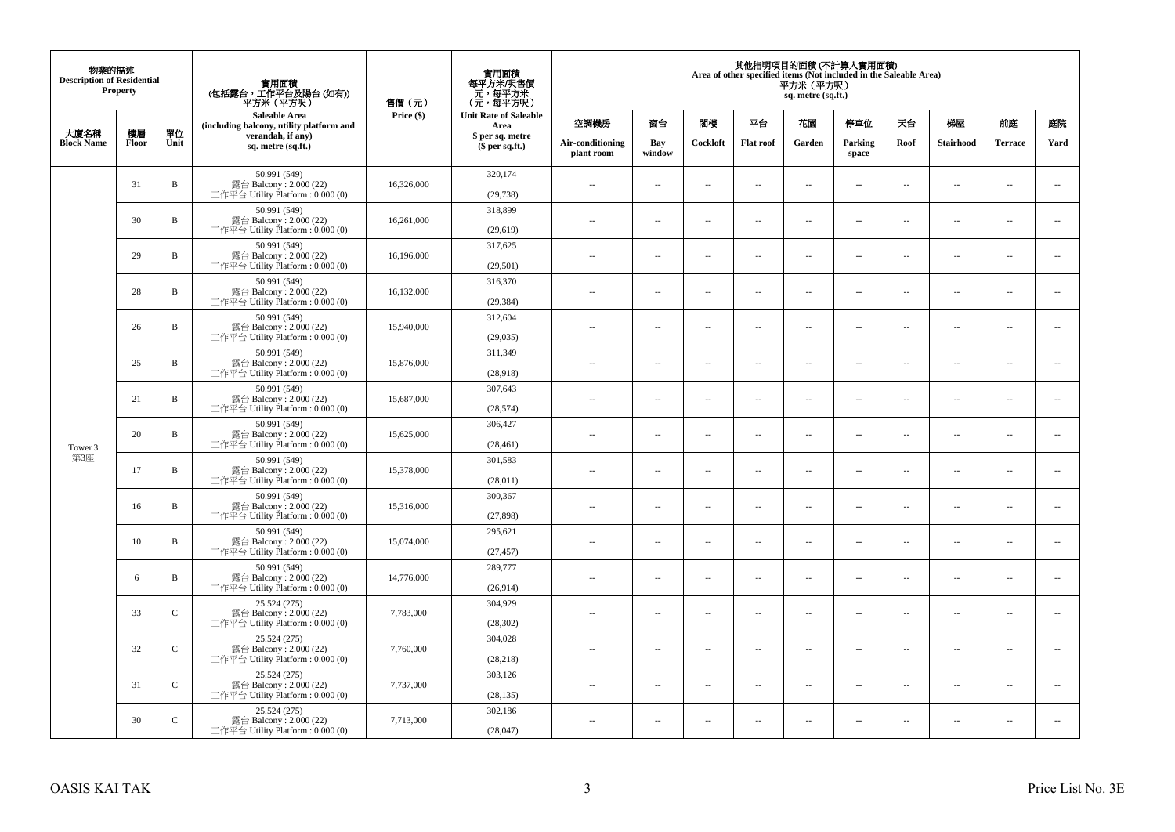| 物業的描述<br><b>Description of Residential</b> | Property |              | 實用面積<br>(包括露台,工作平台及陽台(如有))<br>平方米(平方呎)                                      | 售價(元)      | 實用面積<br>每平方米/呎售價<br>- 元, 每平方米<br>(元, 每平方呎) |                                |                          |                          | Area of other specified items (Not included in the Saleable Area) | 平方米 (平方呎)<br>sq. metre (sq.ft.) | 其他指明項目的面積 (不計算入實用面積)     |                          |                          |                          |                             |
|--------------------------------------------|----------|--------------|-----------------------------------------------------------------------------|------------|--------------------------------------------|--------------------------------|--------------------------|--------------------------|-------------------------------------------------------------------|---------------------------------|--------------------------|--------------------------|--------------------------|--------------------------|-----------------------------|
| 大廈名稱                                       | 樓層       | 單位           | Saleable Area<br>(including balcony, utility platform and                   | Price (\$) | <b>Unit Rate of Saleable</b><br>Area       | 空調機房                           | 窗台                       | 閨樓                       | 平台                                                                | 花園                              | 停車位                      | 天台                       | 梯屋                       | 前庭                       | 庭院                          |
| <b>Block Name</b>                          | Floor    | Unit         | verandah, if any)<br>sq. metre (sq.ft.)                                     |            | \$ per sq. metre<br>\$per sq.ft.)          | Air-conditioning<br>plant room | Bay<br>window            | Cockloft                 | <b>Flat roof</b>                                                  | Garden                          | Parking<br>space         | Roof                     | Stairhood                | <b>Terrace</b>           | Yard                        |
|                                            | 31       | $\, {\bf B}$ | 50.991 (549)<br>露台 Balcony: 2.000 (22)<br>工作平台 Utility Platform: 0.000 (0)  | 16,326,000 | 320,174<br>(29, 738)                       | ÷.                             | $\ldots$                 | $\sim$                   | μ.                                                                | $\overline{a}$                  | $\sim$                   | $\overline{\phantom{a}}$ | Ξ.                       | $\ddot{\phantom{a}}$     | $\overline{\phantom{a}}$    |
|                                            | 30       | $\, {\bf B}$ | 50.991 (549)<br>露台 Balcony: 2.000 (22)<br>工作平台 Utility Platform : 0.000 (0) | 16,261,000 | 318,899<br>(29,619)                        | $\sim$                         | $\sim$                   | $\sim$                   | $\sim$                                                            | $\sim$                          | $\sim$                   | $\sim$                   | $\overline{a}$           | $\sim$                   | $\sim$                      |
|                                            | 29       | $\, {\bf B}$ | 50.991 (549)<br>露台 Balcony: 2.000 (22)<br>工作平台 Utility Platform : 0.000 (0) | 16,196,000 | 317,625<br>(29, 501)                       | $\overline{\phantom{a}}$       | $\overline{\phantom{a}}$ | $\sim$                   | μ.                                                                | $\overline{\phantom{a}}$        | $\overline{\phantom{a}}$ | $\overline{\phantom{a}}$ | Ξ.                       | $\overline{\phantom{a}}$ | $\overline{\phantom{a}}$    |
|                                            | 28       | $\, {\bf B}$ | 50.991 (549)<br>露台 Balcony: 2.000 (22)<br>工作平台 Utility Platform: 0.000 (0)  | 16,132,000 | 316,370<br>(29, 384)                       | $\sim$                         | $\overline{a}$           | $\sim$                   | $\sim$                                                            | $\sim$ $\sim$                   | $\sim$                   | $\sim$                   | $\overline{\phantom{a}}$ | $\sim$                   | $\sim$                      |
|                                            | 26       | $\, {\bf B}$ | 50.991 (549)<br>露台 Balcony: 2.000 (22)<br>工作平台 Utility Platform: 0.000 (0)  | 15,940,000 | 312,604<br>(29, 035)                       |                                | --                       | $\sim$                   | --                                                                | $\overline{\phantom{a}}$        | $\overline{\phantom{a}}$ | $\overline{\phantom{a}}$ | --                       | $\ddotsc$                | $\overline{\phantom{a}}$    |
|                                            | 25       | $\, {\bf B}$ | 50.991 (549)<br>露台 Balcony: 2.000 (22)<br>工作平台 Utility Platform: 0.000 (0)  | 15,876,000 | 311.349<br>(28,918)                        | $\sim$                         | $\sim$                   | $\sim$                   | $\sim$                                                            | $\sim$ $\sim$                   | $\overline{\phantom{a}}$ | $\sim$                   | $\sim$                   | $\overline{\phantom{a}}$ | $\overline{\phantom{a}}$    |
|                                            | 21       | $\mathbf B$  | 50.991 (549)<br>露台 Balcony: 2.000 (22)<br>工作平台 Utility Platform: 0.000 (0)  | 15,687,000 | 307,643<br>(28, 574)                       | ÷.                             | ш.                       | ÷.                       | μ.                                                                | $\sim$                          | $\sim$                   | $\overline{\phantom{a}}$ | Ξ.                       | $\ddot{\phantom{a}}$     | $\sim$                      |
| Tower 3                                    | 20       | $\, {\bf B}$ | 50.991 (549)<br>露台 Balcony: 2.000 (22)<br>工作平台 Utility Platform: 0.000 (0)  | 15,625,000 | 306,427<br>(28, 461)                       | $\overline{a}$                 | $\sim$                   | $\sim$                   | $\sim$                                                            | $\sim$ $\sim$                   | $\sim$                   | $\overline{\phantom{a}}$ | $\sim$                   | $\sim$                   | $\mathcal{L}_{\mathcal{A}}$ |
| 第3座                                        | 17       | $\, {\bf B}$ | 50.991 (549)<br>露台 Balcony: 2.000 (22)<br>工作平台 Utility Platform: 0.000 (0)  | 15,378,000 | 301,583<br>(28,011)                        | 44                             | $\overline{\phantom{a}}$ | $\sim$                   | μ.                                                                | $\sim$                          | $\sim$                   | $\overline{\phantom{a}}$ | Ξ.                       | $\ddot{\phantom{a}}$     | $\overline{\phantom{a}}$    |
|                                            | 16       | B            | 50.991 (549)<br>露台 Balcony: 2.000 (22)<br>工作平台 Utility Platform : 0.000 (0) | 15,316,000 | 300,367<br>(27, 898)                       | $\sim$                         | $\overline{a}$           | $\sim$                   | $\sim$                                                            | $\overline{a}$                  | $\sim$                   | $\sim$                   | $\overline{\phantom{a}}$ | $\sim$                   | $\overline{\phantom{a}}$    |
|                                            | 10       | $\, {\bf B}$ | 50.991 (549)<br>露台 Balcony: 2.000 (22)<br>工作平台 Utility Platform : 0.000 (0) | 15,074,000 | 295,621<br>(27, 457)                       | 44                             | $\overline{\phantom{a}}$ | $\overline{\phantom{a}}$ | --                                                                | $\overline{\phantom{a}}$        | $\overline{\phantom{a}}$ | $\overline{\phantom{a}}$ | $\overline{\phantom{a}}$ | $\overline{\phantom{a}}$ | $\overline{\phantom{a}}$    |
|                                            | 6        | B            | 50.991 (549)<br>露台 Balcony: 2.000 (22)<br>工作平台 Utility Platform : 0.000 (0) | 14,776,000 | 289,777<br>(26,914)                        | $\sim$                         | $\overline{\phantom{a}}$ | $\sim$                   | $\sim$                                                            | $\sim$                          | $\sim$                   | $\overline{\phantom{a}}$ | $\overline{a}$           | $\ddot{\phantom{a}}$     | $\sim$                      |
|                                            | 33       | $\mathbf C$  | 25.524 (275)<br>露台 Balcony: 2.000 (22)<br>工作平台 Utility Platform: 0.000 (0)  | 7,783,000  | 304,929<br>(28, 302)                       | ÷.                             | $\ldots$                 | $\sim$                   | μ.                                                                | $\overline{a}$                  | $\sim$                   | $\overline{\phantom{a}}$ | $\overline{\phantom{a}}$ | $\ddot{\phantom{a}}$     | $\sim$                      |
|                                            | 32       | $\mathbf C$  | 25.524 (275)<br>露台 Balcony: 2.000 (22)<br>工作平台 Utility Platform: 0.000 (0)  | 7,760,000  | 304,028<br>(28, 218)                       | $\sim$                         | $\overline{\phantom{a}}$ | $\sim$                   | $\overline{\phantom{a}}$                                          | $\overline{\phantom{a}}$        | $\overline{\phantom{a}}$ | $\sim$                   | $\overline{\phantom{a}}$ | $\overline{\phantom{a}}$ | $\overline{\phantom{a}}$    |
|                                            | 31       | $\mathsf{C}$ | 25.524 (275)<br>露台 Balcony: 2.000 (22)<br>工作平台 Utility Platform : 0.000 (0) | 7,737,000  | 303,126<br>(28, 135)                       | $\sim$                         | $\overline{\phantom{a}}$ | $\sim$                   | μ.                                                                | $\sim$                          | $\sim$                   | $\overline{\phantom{a}}$ | $\overline{\phantom{a}}$ | $\ddot{\phantom{a}}$     | $\sim$                      |
|                                            | 30       | $\mathsf{C}$ | 25.524 (275)<br>露台 Balcony: 2.000 (22)<br>工作平台 Utility Platform: 0.000 (0)  | 7,713,000  | 302,186<br>(28,047)                        | $\overline{a}$                 | $\sim$                   | $\sim$                   | $\sim$                                                            | $\sim$ $\sim$                   | $\sim$                   | $\sim$                   | $\sim$                   | $\sim$                   |                             |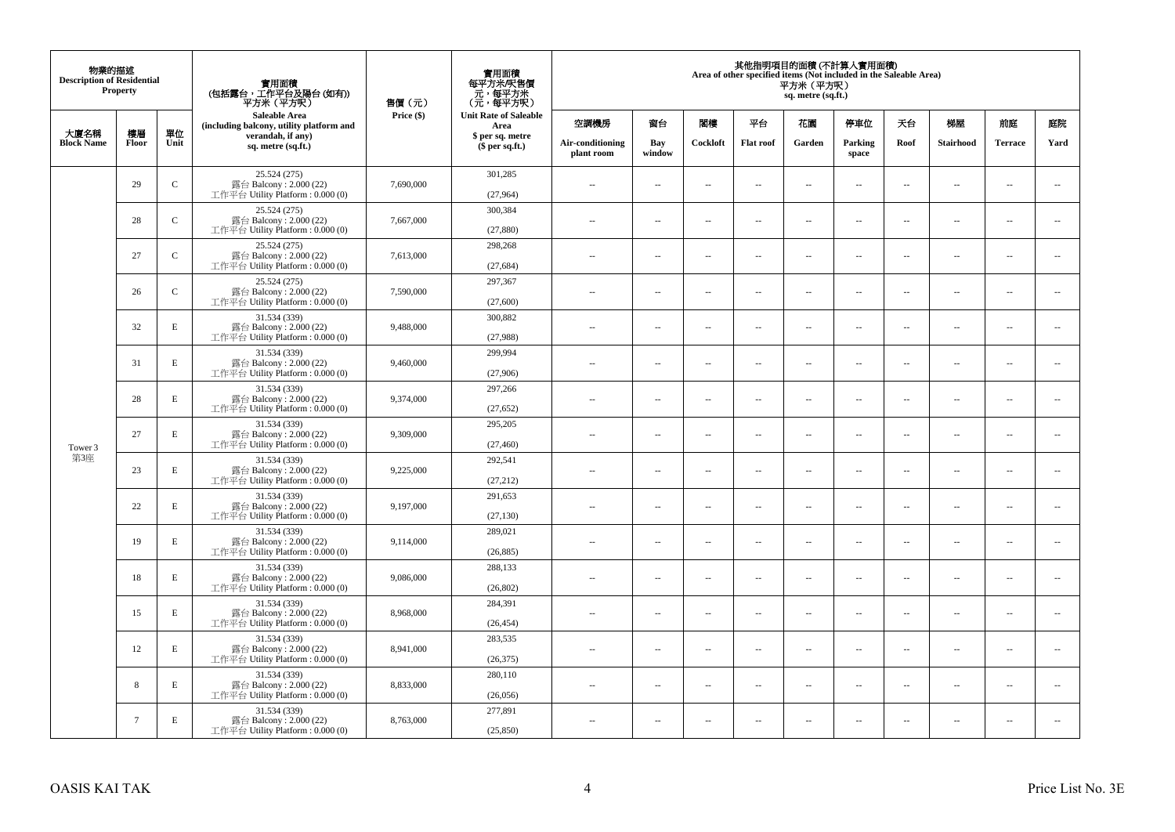| 物業的描述<br><b>Description of Residential</b> | <b>Property</b> |              | 實用面積<br>(包括露台,工作平台及陽台(如有))<br>平方米(平方呎)                                      | 售價(元)      | 實用面積<br>每平方米/呎售價<br>- 元, 每平方米<br>(元, 每平方呎) |                                |                          |                          |                          | 平方米 (平方呎)<br>sq. metre (sq.ft.) | 其他指明項目的面積 (不計算入實用面積)<br>Area of other specified items (Not included in the Saleable Area) |                          |                          |                          |                             |
|--------------------------------------------|-----------------|--------------|-----------------------------------------------------------------------------|------------|--------------------------------------------|--------------------------------|--------------------------|--------------------------|--------------------------|---------------------------------|-------------------------------------------------------------------------------------------|--------------------------|--------------------------|--------------------------|-----------------------------|
| 大廈名稱                                       | 樓層              | 單位           | <b>Saleable Area</b><br>(including balcony, utility platform and            | Price (\$) | <b>Unit Rate of Saleable</b><br>Area       | 空調機房                           | 窗台                       | 閣樓                       | 平台                       | 花園                              | 停車位                                                                                       | 天台                       | 梯屋                       | 前庭                       | 庭院                          |
| <b>Block Name</b>                          | Floor           | Unit         | verandah, if any)<br>sq. metre (sq.ft.)                                     |            | \$ per sq. metre<br>\$per sq.ft.)          | Air-conditioning<br>plant room | Bay<br>window            | Cockloft                 | <b>Flat</b> roof         | Garden                          | Parking<br>space                                                                          | Roof                     | Stairhood                | <b>Terrace</b>           | Yard                        |
|                                            | 29              | $\mathsf{C}$ | 25.524 (275)<br>露台 Balcony: 2.000 (22)<br>工作平台 Utility Platform: 0.000 (0)  | 7,690,000  | 301,285<br>(27,964)                        | $\ddot{\phantom{a}}$           | $\overline{\phantom{a}}$ | $\sim$                   | μ.                       | $\sim$                          | $\sim$                                                                                    | $\overline{\phantom{a}}$ | Ξ.                       | $\ddot{\phantom{a}}$     | $\sim$                      |
|                                            | 28              | $\mathbf C$  | 25.524 (275)<br>露台 Balcony: 2.000 (22)<br>工作平台 Utility Platform: 0.000 (0)  | 7,667,000  | 300,384<br>(27, 880)                       | $\sim$                         | $\overline{a}$           | $\sim$                   | $\sim$                   | $\sim$                          | $\sim$                                                                                    | $\sim$                   | $\sim$                   | $\sim$                   | $\mathcal{L}_{\mathcal{A}}$ |
|                                            | 27              | $\mathbf C$  | 25.524 (275)<br>露台 Balcony: 2.000 (22)<br>工作平台 Utility Platform : 0.000 (0) | 7,613,000  | 298,268<br>(27, 684)                       | $\overline{\phantom{a}}$       | $\overline{\phantom{a}}$ | $\overline{\phantom{a}}$ | --                       | $\overline{\phantom{a}}$        | $\overline{\phantom{a}}$                                                                  | $\overline{\phantom{a}}$ | $\overline{\phantom{a}}$ | $\overline{\phantom{a}}$ | $\overline{\phantom{a}}$    |
|                                            | 26              | $\mathsf{C}$ | 25.524 (275)<br>露台 Balcony: 2.000 (22)<br>工作平台 Utility Platform: 0.000 (0)  | 7,590,000  | 297,367<br>(27,600)                        | $\sim$                         | $\overline{\phantom{a}}$ | $\sim$                   | $\sim$                   | $\overline{\phantom{a}}$        | $\sim$                                                                                    | $\sim$                   | $\sim$                   | $\overline{\phantom{a}}$ | $\overline{\phantom{a}}$    |
|                                            | 32              | $\mathbf E$  | 31.534 (339)<br>露台 Balcony: 2.000 (22)<br>工作平台 Utility Platform: 0.000 (0)  | 9,488,000  | 300,882<br>(27,988)                        |                                | ш.                       | ÷.                       | μ.                       | $\sim$                          | $\sim$                                                                                    | $\sim$                   | Ξ.                       | $\ddot{\phantom{a}}$     | $\sim$                      |
| Tower 3                                    | 31              | $\mathbf E$  | 31.534 (339)<br>露台 Balcony: 2.000 (22)<br>工作平台 Utility Platform: 0.000 (0)  | 9,460,000  | 299,994<br>(27,906)                        | ×.                             | $\sim$                   | $\sim$                   | $\sim$                   | $\sim$                          | $\sim$                                                                                    | $\sim$                   | $\overline{a}$           | $\sim$                   | $\sim$                      |
|                                            | 28              | E            | 31.534 (339)<br>露台 Balcony: 2.000 (22)<br>工作平台 Utility Platform: 0.000 (0)  | 9,374,000  | 297,266<br>(27, 652)                       | $\sim$                         | $\overline{\phantom{a}}$ | $\sim$                   | $\overline{\phantom{a}}$ | $\overline{\phantom{a}}$        | $\overline{\phantom{a}}$                                                                  | $\overline{\phantom{a}}$ | $\overline{\phantom{a}}$ | $\overline{\phantom{a}}$ | $\overline{\phantom{a}}$    |
|                                            | 27              | E            | 31.534 (339)<br>露台 Balcony: 2.000 (22)<br>工作平台 Utility Platform: 0.000 (0)  | 9,309,000  | 295,205<br>(27, 460)                       | $\sim$                         | $\overline{a}$           | $\sim$                   | $\sim$                   | $\overline{a}$                  | $\sim$                                                                                    | $\overline{\phantom{a}}$ | $\overline{a}$           | $\sim$                   | $\overline{\phantom{a}}$    |
| 第3座                                        | 23              | $\mathbf E$  | 31.534 (339)<br>露台 Balcony: 2.000 (22)<br>工作平台 Utility Platform: 0.000 (0)  | 9,225,000  | 292,541<br>(27, 212)                       | $\overline{\phantom{a}}$       | $\sim$                   | $\sim$                   | $\sim$                   | $\sim$                          | $\sim$                                                                                    | $\overline{\phantom{a}}$ | $\overline{a}$           | $\sim$                   | $\ddot{\phantom{a}}$        |
|                                            | 22              | $\mathbf E$  | 31.534 (339)<br>露台 Balcony: 2.000 (22)<br>工作平台 Utility Platform : 0.000 (0) | 9,197,000  | 291,653<br>(27, 130)                       | $\sim$                         | $\sim$                   | $\sim$                   | $\sim$                   | $\sim$ $\sim$                   | $\overline{\phantom{a}}$                                                                  | $\sim$                   | $\sim$                   | $\overline{\phantom{a}}$ | $\overline{\phantom{a}}$    |
|                                            | 19              | E            | 31.534 (339)<br>露台 Balcony: 2.000 (22)<br>工作平台 Utility Platform : 0.000 (0) | 9,114,000  | 289,021<br>(26, 885)                       |                                | $\overline{\phantom{a}}$ | $\sim$                   | μ.                       | $\sim$                          | $\sim$                                                                                    | $\overline{\phantom{a}}$ | Ξ.                       | $\ddot{\phantom{a}}$     | $\sim$                      |
|                                            | 18              | E            | 31.534 (339)<br>露台 Balcony: 2.000 (22)<br>工作平台 Utility Platform : 0.000 (0) | 9,086,000  | 288,133<br>(26, 802)                       | $\sim$                         | $\overline{a}$           | $\sim$                   | $\sim$                   | $\overline{a}$                  | $\sim$                                                                                    | $\overline{\phantom{a}}$ | $\overline{a}$           | $\sim$                   | $\sim$                      |
|                                            | 15              | $\mathbf E$  | 31.534 (339)<br>露台 Balcony: 2.000 (22)<br>工作平台 Utility Platform : 0.000 (0) | 8,968,000  | 284,391<br>(26, 454)                       | 44                             | $\overline{\phantom{a}}$ | $\sim$                   | μ.                       | $\overline{\phantom{a}}$        | $\sim$                                                                                    | $\overline{\phantom{a}}$ | Ξ.                       | $\ddot{\phantom{a}}$     | $\sim$                      |
|                                            | 12              | E            | 31.534 (339)<br>露台 Balcony: 2.000 (22)<br>工作平台 Utility Platform : 0.000 (0) | 8,941,000  | 283,535<br>(26, 375)                       | $\sim$                         | $\sim$                   | $\sim$                   | $\sim$                   | $\sim$ $\sim$                   | $\sim$                                                                                    | $\sim$                   | $\sim$                   | $\sim$                   | $\sim$                      |
|                                            | 8               | E            | 31.534 (339)<br>露台 Balcony: 2.000 (22)<br>工作平台 Utility Platform: 0.000 (0)  | 8,833,000  | 280,110<br>(26,056)                        | $\sim$                         | $\overline{\phantom{a}}$ | $\sim$                   | μ.                       | $\overline{\phantom{a}}$        | $\sim$                                                                                    | $\overline{\phantom{a}}$ | $\overline{\phantom{a}}$ | $\sim$                   | $\sim$                      |
|                                            | $\tau$          | E            | 31.534 (339)<br>露台 Balcony: 2.000 (22)<br>工作平台 Utility Platform: 0.000 (0)  | 8,763,000  | 277,891<br>(25, 850)                       | $\sim$                         | $\sim$                   | $\sim$                   | $\sim$                   | $\sim$ $\sim$                   | $\sim$                                                                                    | $\overline{\phantom{a}}$ | $\sim$                   | $\sim$                   | $\sim$                      |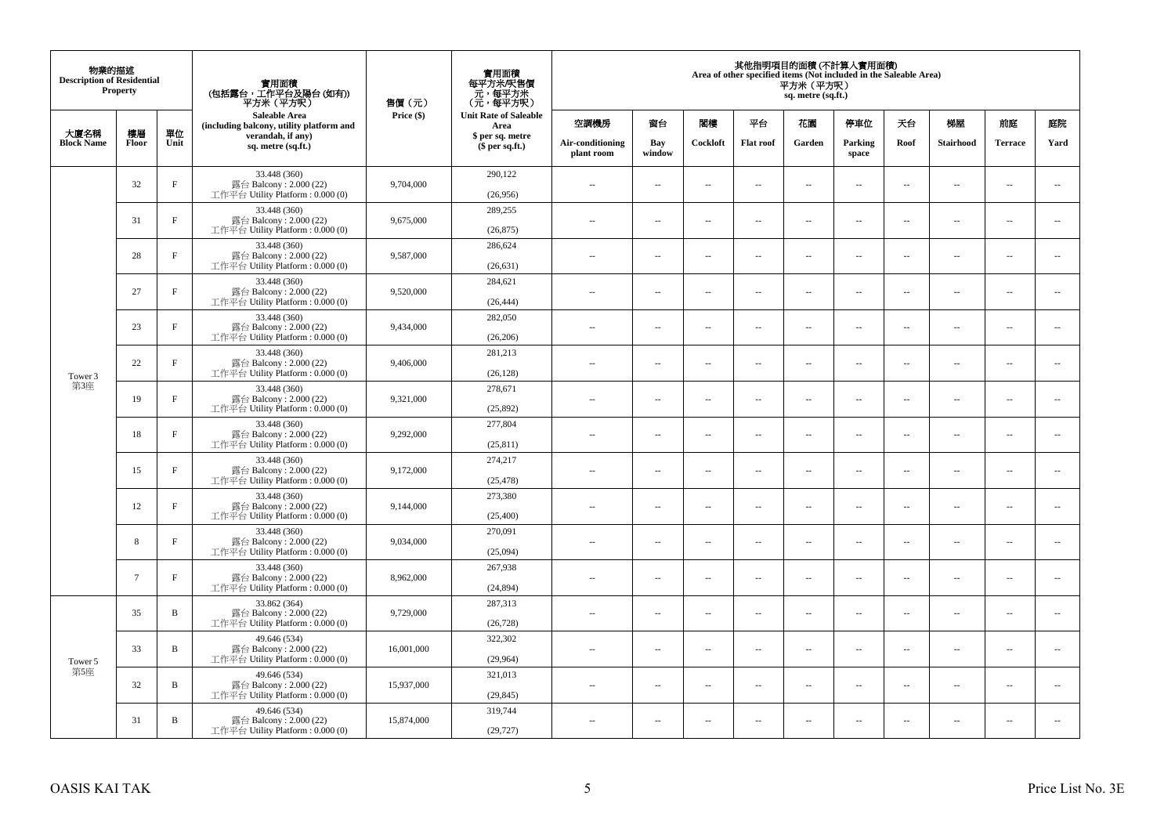| 物業的描述<br><b>Description of Residential</b> | <b>Property</b> |              | 實用面積<br>(包括露台,工作平台及陽台(如有))<br>平方米 (平方呎)                                       | 售價(元)      | 實用面積<br>每平方米/呎售價<br>元,每平方米<br>(元,每平方呎) |                                |                          |                          |                          | 平方米 (平方呎)<br>sq. metre (sq.ft.) | 其他指明項目的面積 (不計算入實用面積)<br>Area of other specified items (Not included in the Saleable Area) |                          |                          |                |                          |
|--------------------------------------------|-----------------|--------------|-------------------------------------------------------------------------------|------------|----------------------------------------|--------------------------------|--------------------------|--------------------------|--------------------------|---------------------------------|-------------------------------------------------------------------------------------------|--------------------------|--------------------------|----------------|--------------------------|
|                                            |                 |              | <b>Saleable Area</b><br>(including balcony, utility platform and              | Price (\$) | <b>Unit Rate of Saleable</b><br>Area   | 空調機房                           | 窗台                       | 閣樓                       | 平台                       | 花園                              | 停車位                                                                                       | 天台                       | 梯屋                       | 前庭             | 庭院                       |
| 大廈名稱<br><b>Block Name</b>                  | 樓層<br>Floor     | 單位<br>Unit   | verandah, if any)<br>sq. metre (sq.ft.)                                       |            | \$ per sq. metre<br>$$$ per sq.ft.)    | Air-conditioning<br>plant room | Bay<br>window            | Cockloft                 | <b>Flat roof</b>         | Garden                          | Parking<br>space                                                                          | Roof                     | Stairhood                | <b>Terrace</b> | Yard                     |
|                                            | 32              | $\rm F$      | 33.448 (360)<br>露台 Balcony: 2.000 (22)<br>工作平台 Utility Platform : 0.000 (0)   | 9,704,000  | 290,122<br>(26,956)                    | $\sim$                         | $\overline{\phantom{a}}$ | $\sim$                   | $\sim$                   | $\overline{a}$                  | $\sim$                                                                                    | $\overline{\phantom{a}}$ | $\cdots$                 | $\sim$         | $\sim$                   |
|                                            | 31              | $_{\rm F}$   | 33.448 (360)<br>露台 Balcony: 2.000 (22)<br>工作平台 Utility Platform: 0.000 (0)    | 9,675,000  | 289,255<br>(26, 875)                   | $\overline{\phantom{a}}$       | $\overline{\phantom{a}}$ | $\sim$                   | $\sim$                   | $\overline{a}$                  | $\sim$                                                                                    | $\sim$                   | $\overline{\phantom{a}}$ | $\sim$         | $\sim$                   |
|                                            | 28              | $_{\rm F}$   | 33.448 (360)<br>露台 Balcony: 2.000 (22)<br>工作平台 Utility Platform: 0.000 (0)    | 9,587,000  | 286,624<br>(26, 631)                   | $\sim$ $\sim$                  | $\overline{\phantom{a}}$ | $\sim$                   | $\overline{\phantom{a}}$ | μ.                              | $\overline{\phantom{a}}$                                                                  | $\overline{\phantom{a}}$ | $\overline{\phantom{a}}$ | $\sim$         | $\overline{\phantom{a}}$ |
|                                            | 27              | $_{\rm F}$   | 33.448 (360)<br>露台 Balcony: 2.000 (22)<br>工作平台 Utility Platform : $0.000(0)$  | 9,520,000  | 284,621<br>(26, 444)                   | $\sim$                         | $\overline{a}$           | $\sim$                   | $\sim$                   | $\sim$                          | $\sim$                                                                                    | $\sim$                   | $\sim$                   | $\sim$         | $\sim$                   |
|                                            | 23              | $_{\rm F}$   | 33.448 (360)<br>露台 Balcony: 2.000 (22)<br>工作平台 Utility Platform : $0.000(0)$  | 9,434,000  | 282,050<br>(26, 206)                   |                                | $\sim$                   | ÷.                       | $\sim$                   | μ.                              | $\sim$                                                                                    | $\sim$                   | $\overline{\phantom{a}}$ | ÷.             | $\sim$                   |
| Tower 3<br>第3座                             | 22              | $_{\rm F}$   | 33.448 (360)<br>露台 Balcony: 2.000 (22)<br>工作平台 Utility Platform: 0.000 (0)    | 9,406,000  | 281,213<br>(26, 128)                   | ٠.                             | $\overline{\phantom{a}}$ | $\sim$                   | $\sim$                   | $\overline{\phantom{a}}$        | $\sim$                                                                                    | $\sim$                   | $\overline{\phantom{a}}$ | $\sim$         | $\sim$                   |
|                                            | 19              | $\rm F$      | 33.448 (360)<br>露台 Balcony: 2.000 (22)<br>工作平台 Utility Platform : 0.000 (0)   | 9,321,000  | 278,671<br>(25,892)                    | $\sim$ $\sim$                  | $\overline{\phantom{a}}$ | $\overline{\phantom{a}}$ | $\overline{\phantom{a}}$ | --                              | $\overline{\phantom{a}}$                                                                  | $\sim$                   | $\overline{\phantom{a}}$ | $\sim$         | $\sim$                   |
|                                            | 18              | $_{\rm F}$   | 33.448 (360)<br>露台 Balcony: 2.000 (22)<br>工作平台 Utility Platform: 0.000 (0)    | 9,292,000  | 277,804<br>(25, 811)                   | $\sim$                         | $\overline{a}$           | $\sim$                   | $\sim$                   | $\sim$                          | $\sim$                                                                                    | $\sim$                   | $\sim$                   | $\sim$         | $\sim$                   |
|                                            | 15              | $_{\rm F}$   | 33.448 (360)<br>露台 Balcony: $2.000(22)$<br>工作平台 Utility Platform : $0.000(0)$ | 9,172,000  | 274,217<br>(25, 478)                   | $-$                            | $\sim$                   | ÷.                       | $\sim$                   | $\overline{a}$                  | $\sim$                                                                                    | $\overline{\phantom{a}}$ | $\overline{\phantom{a}}$ | $\sim$         | $\sim$                   |
|                                            | 12              | $\rm F$      | 33.448 (360)<br>露台 Balcony: 2.000 (22)<br>工作平台 Utility Platform: 0.000 (0)    | 9,144,000  | 273,380<br>(25,400)                    | $\overline{\phantom{a}}$       | $\overline{\phantom{a}}$ | $\sim$                   | $\sim$                   | $\overline{a}$                  | $\sim$                                                                                    | $\sim$                   | $\overline{\phantom{a}}$ | $\sim$         | $\sim$                   |
|                                            | 8               | $\rm F$      | 33.448 (360)<br>露台 Balcony: 2.000 (22)<br>工作平台 Utility Platform: 0.000 (0)    | 9,034,000  | 270,091<br>(25,094)                    | $\overline{\phantom{a}}$       | $\overline{\phantom{a}}$ | $\sim$                   | $\sim$                   | μ.                              | $\overline{\phantom{a}}$                                                                  | $\overline{\phantom{a}}$ | $\overline{\phantom{a}}$ | $\sim$         | $\sim$                   |
|                                            | $7\phantom{.0}$ | $\mathbf{F}$ | 33.448 (360)<br>露台 Balcony: 2.000 (22)<br>工作平台 Utility Platform: 0.000 (0)    | 8,962,000  | 267,938<br>(24, 894)                   | $\overline{a}$                 | $\overline{\phantom{a}}$ | $\sim$                   | $\sim$                   | $\overline{\phantom{a}}$        | $\sim$                                                                                    | $\overline{\phantom{a}}$ | $\sim$                   | $\sim$         | $\sim$                   |
|                                            | 35              | B            | 33.862 (364)<br>露台 Balcony: 2.000 (22)<br>工作平台 Utility Platform : $0.000(0)$  | 9,729,000  | 287,313<br>(26, 728)                   | $\overline{\phantom{a}}$       | $\sim$                   | $\sim$                   | $\sim$                   | μ.                              | $\sim$                                                                                    | $\sim$                   | $\overline{\phantom{a}}$ | $\sim$         | $\sim$                   |
| Tower 5<br>第5座                             | 33              | B            | 49.646 (534)<br>露台 Balcony: 2.000 (22)<br>工作平台 Utility Platform: 0.000 (0)    | 16,001,000 | 322,302<br>(29,964)                    | $\sim$                         | $\overline{\phantom{a}}$ | $\sim$                   | $\sim$                   | $\overline{a}$                  | $\sim$                                                                                    | $\sim$                   | $\overline{\phantom{a}}$ | $\sim$         | $\sim$                   |
|                                            | 32              | B            | 49.646 (534)<br>露台 Balcony: 2.000 (22)<br>工作平台 Utility Platform : $0.000(0)$  | 15,937,000 | 321,013<br>(29, 845)                   | $-$                            | $\overline{\phantom{a}}$ | $\sim$                   | $\sim$                   | ۰.                              | $\sim$                                                                                    | $\overline{\phantom{a}}$ | $\overline{\phantom{a}}$ | $\sim$         | $\sim$                   |
|                                            | 31              | B            | 49.646 (534)<br>露台 Balcony: 2.000 (22)<br>工作平台 Utility Platform: 0.000 (0)    | 15,874,000 | 319,744<br>(29, 727)                   | ٠.                             | $\overline{\phantom{a}}$ | 4                        | $\overline{\phantom{a}}$ | --                              | $\sim$                                                                                    | $\overline{\phantom{a}}$ | $\overline{\phantom{a}}$ | $\sim$         | $\sim$                   |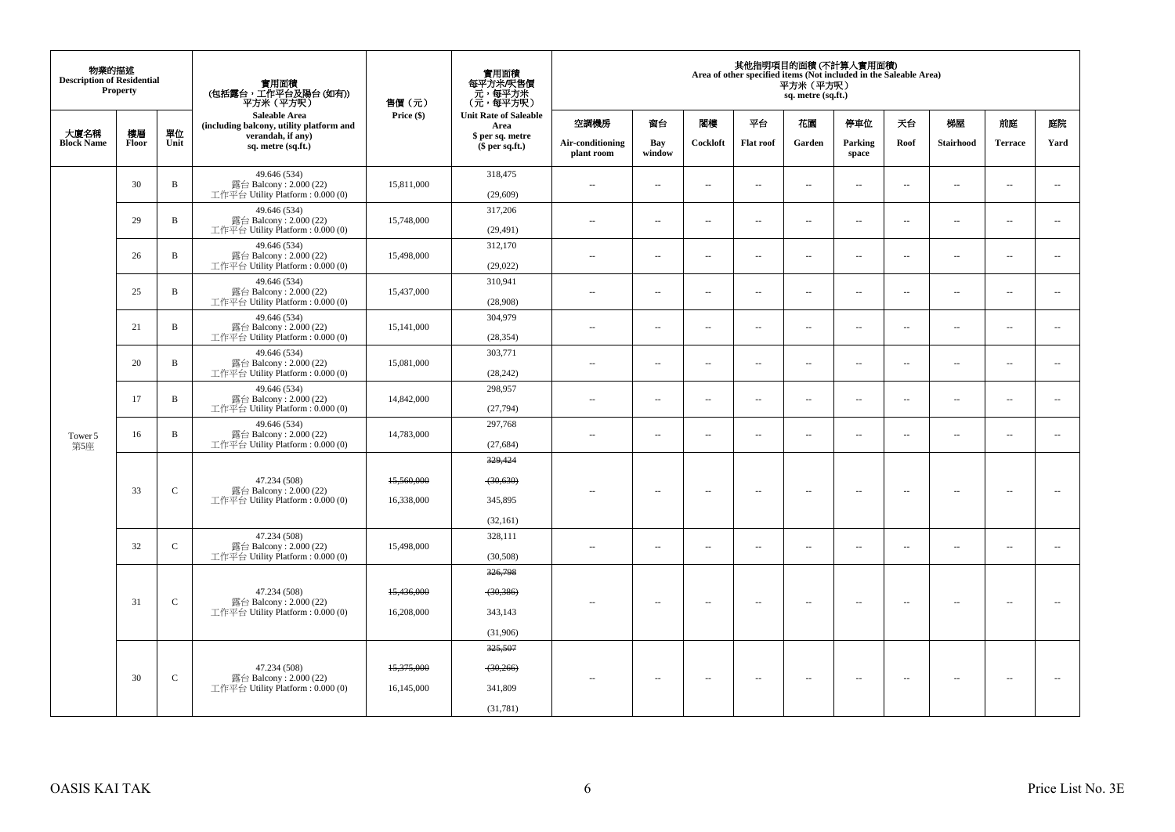| 物業的描述<br><b>Description of Residential</b> | <b>Property</b> |              | 實用面積<br>(包括露台,工作平台及陽台(如有))<br>平方米 (平方呎)                                      | 售價(元)                    | 實用面積<br>每平方米/呎售價<br>元,每平方米<br>(元,每平方呎)      |                                |                          |          |                          | 其他指明項目的面積 (不計算入實用面積)<br>Area of other specified items (Not included in the Saleable Area)<br>平方米 (平方呎)<br>sq. metre (sq.ft.) |                          |                          |                          |                          |                          |
|--------------------------------------------|-----------------|--------------|------------------------------------------------------------------------------|--------------------------|---------------------------------------------|--------------------------------|--------------------------|----------|--------------------------|------------------------------------------------------------------------------------------------------------------------------|--------------------------|--------------------------|--------------------------|--------------------------|--------------------------|
|                                            |                 |              | Saleable Area<br>(including balcony, utility platform and                    | Price (\$)               | <b>Unit Rate of Saleable</b><br>Area        | 空調機房                           | 窗台                       | 閣樓       | 平台                       | 花園                                                                                                                           | 停車位                      | 天台                       | 梯屋                       | 前庭                       | 庭院                       |
| 大廈名稱<br><b>Block Name</b>                  | 樓層<br>Floor     | 單位<br>Unit   | verandah, if any)<br>sq. metre (sq.ft.)                                      |                          | \$ per sq. metre<br>$$$ per sq.ft.)         | Air-conditioning<br>plant room | Bay<br>window            | Cockloft | <b>Flat roof</b>         | Garden                                                                                                                       | Parking<br>space         | Roof                     | Stairhood                | <b>Terrace</b>           | Yard                     |
|                                            | 30              | $\, {\bf B}$ | 49.646 (534)<br>露台 Balcony: 2.000 (22)<br>工作平台 Utility Platform: 0.000 (0)   | 15,811,000               | 318,475<br>(29,609)                         | 44                             | $\ldots$                 | ÷.       | μ.                       | $\overline{\phantom{a}}$                                                                                                     | $\sim$                   | $\overline{\phantom{a}}$ | Ξ.                       | $\ddot{\phantom{a}}$     | $\sim$                   |
|                                            | 29              | B            | 49.646 (534)<br>露台 Balcony: 2.000 (22)<br>工作平台 Utility Platform: 0.000 (0)   | 15,748,000               | 317,206<br>(29, 491)                        | $\sim$                         | $\ldots$                 | $\sim$   | $\ddot{\phantom{a}}$     | $\overline{a}$                                                                                                               | $\overline{\phantom{a}}$ | $\overline{\phantom{a}}$ | $\overline{\phantom{a}}$ | $\ddot{\phantom{a}}$     |                          |
|                                            | 26              | B            | 49.646 (534)<br>露台 Balcony: 2.000 (22)<br>工作平台 Utility Platform : 0.000 (0)  | 15,498,000               | 312,170<br>(29,022)                         | $\sim$                         | $\overline{\phantom{a}}$ | $\sim$   | $\sim$                   | $\overline{\phantom{a}}$                                                                                                     | $\sim$                   | $\overline{\phantom{a}}$ | $\overline{a}$           | $\ddot{\phantom{a}}$     |                          |
|                                            | 25              | $\, {\bf B}$ | 49.646 (534)<br>露台 Balcony: 2.000 (22)<br>工作平台 Utility Platform : 0.000 (0)  | 15,437,000               | 310,941<br>(28,908)                         | $\sim$                         | $\overline{\phantom{a}}$ | $\sim$   | $\sim$                   | $\overline{a}$                                                                                                               | $\sim$                   | $\overline{\phantom{a}}$ | $\overline{a}$           | $\overline{\phantom{a}}$ |                          |
|                                            | 21              | $\, {\bf B}$ | 49.646 (534)<br>露台 Balcony: 2.000 (22)<br>工作平台 Utility Platform: 0.000 (0)   | 15,141,000               | 304,979<br>(28, 354)                        | ÷.                             | $\overline{\phantom{a}}$ | $\sim$   | μ.                       | $\overline{\phantom{a}}$                                                                                                     | $\sim$                   | $\overline{\phantom{a}}$ | Ξ.                       | $\ddot{\phantom{a}}$     |                          |
|                                            | 20              | B            | 49.646 (534)<br>露台 Balcony: 2.000 (22)<br>工作平台 Utility Platform: 0.000 (0)   | 15,081,000               | 303,771<br>(28, 242)                        | $\ddot{\phantom{a}}$           | $\ldots$                 | $\sim$   | μ.                       | $\ldots$                                                                                                                     | $\sim$                   | $\overline{\phantom{a}}$ | $\overline{\phantom{a}}$ | $\sim$                   |                          |
|                                            | 17              | $\mathbf B$  | 49.646 (534)<br>露台 Balcony: 2.000 (22)<br>工作平台 Utility Platform: 0.000 (0)   | 14,842,000               | 298,957<br>(27,794)                         | $\sim$                         | $\overline{\phantom{a}}$ | $\sim$   | $\sim$                   | $\overline{a}$                                                                                                               | $\sim$                   | $\overline{\phantom{a}}$ | $\overline{a}$           | $\ddot{\phantom{a}}$     |                          |
| Tower 5<br>第5座                             | 16              | B            | 49.646 (534)<br>露台 Balcony: 2.000 (22)<br>工作平台 Utility Platform : 0.000 (0)  | 14,783,000               | 297,768<br>(27, 684)                        | $\sim$                         | $\overline{\phantom{a}}$ | $\sim$   | $\sim$                   | $\overline{a}$                                                                                                               | $\sim$                   | $\overline{\phantom{a}}$ | $\overline{a}$           | $\overline{\phantom{a}}$ |                          |
|                                            | 33              | $\mathbf C$  | 47.234 (508)<br>露台 Balcony: 2.000 (22)<br>工作平台 Utility Platform : 0.000 (0)  | 15,560,000<br>16,338,000 | 329,424<br>(30, 630)<br>345,895             | ٠.                             | $\overline{\phantom{a}}$ | $\sim$   | $\sim$                   | $\overline{\phantom{a}}$                                                                                                     | $\sim$                   | $\sim$                   | $\overline{\phantom{a}}$ | $\sim$                   | $\sim$                   |
|                                            | 32              | $\mathsf{C}$ | 47.234 (508)<br>露台 Balcony: 2.000 (22)<br>工作平台 Utility Platform : 0.000 (0)  | 15,498,000               | (32, 161)<br>328,111<br>(30,508)            | $\sim$                         | $\overline{\phantom{a}}$ | $\sim$   | $\sim$                   | $\overline{\phantom{a}}$                                                                                                     | $\sim$                   | $\overline{\phantom{a}}$ | $\overline{\phantom{a}}$ | $\sim$                   | $\overline{\phantom{a}}$ |
|                                            | 31              | $\mathbf C$  | 47.234 (508)<br>露台 Balcony: 2.000 (22)<br>工作平台 Utility Platform : $0.000(0)$ | 15,436,000<br>16,208,000 | 326,798<br>$-30,386$<br>343,143<br>(31,906) | $\overline{\phantom{a}}$       | ۰.                       | $\sim$   | $\overline{\phantom{a}}$ | $\overline{\phantom{a}}$                                                                                                     | $\overline{\phantom{a}}$ | $\overline{\phantom{a}}$ | $\overline{\phantom{a}}$ | $\sim$                   |                          |
|                                            | 30              | $\mathbf C$  | 47.234 (508)<br>露台 Balcony: 2.000 (22)<br>工作平台 Utility Platform: 0.000 (0)   | 15,375,000<br>16,145,000 | 325,507<br>$-30,266$<br>341,809<br>(31,781) |                                | $\overline{\phantom{a}}$ | $\sim$   | $\sim$                   | $\sim$                                                                                                                       | $\sim$                   | $\overline{\phantom{a}}$ | $\overline{\phantom{a}}$ | $\sim$                   |                          |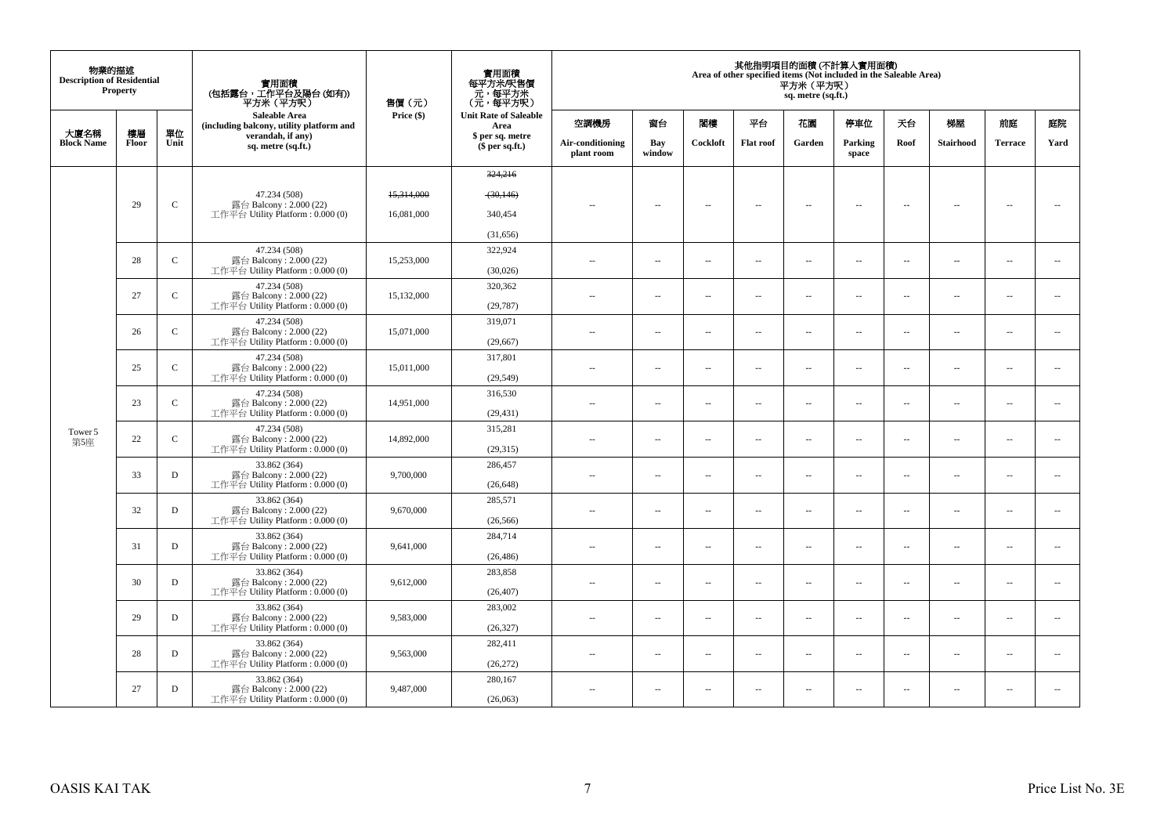| 物業的描述<br><b>Description of Residential</b> | Property    |              | 實用面積<br>(包括露台,工作平台及陽台(如有))<br>平方米(平方呎)                       | 售價(元)      | 實用面積<br>每平方米/呎售價<br>- 元, 每平方米<br>(元, 每平方呎) |                                |                          |                          |                          | 平方米 (平方呎)<br>sq. metre (sq.ft.) | 其他指明項目的面積 (不計算入實用面積)<br>Area of other specified items (Not included in the Saleable Area) |                          |                          |                          |                          |
|--------------------------------------------|-------------|--------------|--------------------------------------------------------------|------------|--------------------------------------------|--------------------------------|--------------------------|--------------------------|--------------------------|---------------------------------|-------------------------------------------------------------------------------------------|--------------------------|--------------------------|--------------------------|--------------------------|
|                                            |             |              | Saleable Area<br>(including balcony, utility platform and    | Price (\$) | <b>Unit Rate of Saleable</b><br>Area       | 空調機房                           | 窗台                       | 関樓                       | 平台                       | 花園                              | 停車位                                                                                       | 天台                       | 梯屋                       | 前庭                       | 庭院                       |
| 大廈名稱<br><b>Block Name</b>                  | 樓層<br>Floor | 單位<br>Unit   | verandah, if any)<br>sq. metre (sq.ft.)                      |            | \$ per sq. metre<br>$$$ per sq.ft.)        | Air-conditioning<br>plant room | Bay<br>window            | Cockloft                 | <b>Flat roof</b>         | Garden                          | Parking<br>space                                                                          | Roof                     | <b>Stairhood</b>         | <b>Terrace</b>           | Yard                     |
|                                            |             |              |                                                              |            | 324,216                                    |                                |                          |                          |                          |                                 |                                                                                           |                          |                          |                          |                          |
|                                            |             |              | 47.234 (508)                                                 | 15,314,000 | (30, 146)                                  |                                |                          |                          |                          |                                 |                                                                                           |                          |                          |                          |                          |
|                                            | 29          | $\mathbf C$  | 露台 Balcony: 2.000 (22)<br>工作平台 Utility Platform : $0.000(0)$ | 16,081,000 | 340,454                                    | $\sim$                         | $\overline{\phantom{a}}$ | $\sim$                   | $\overline{\phantom{a}}$ | $\overline{\phantom{a}}$        | $\overline{\phantom{a}}$                                                                  | $\overline{\phantom{a}}$ | $\overline{\phantom{a}}$ | $\sim$                   | $\overline{\phantom{a}}$ |
|                                            |             |              |                                                              |            | (31,656)                                   |                                |                          |                          |                          |                                 |                                                                                           |                          |                          |                          |                          |
|                                            | 28          | $\mathsf{C}$ | 47.234 (508)<br>露台 Balcony: 2.000 (22)                       | 15,253,000 | 322,924                                    |                                |                          |                          |                          |                                 |                                                                                           |                          |                          |                          |                          |
|                                            |             |              | 工作平台 Utility Platform : $0.000(0)$                           |            | (30,026)                                   | $\sim$ $-$                     | $\overline{\phantom{a}}$ | $\overline{\phantom{a}}$ | $\overline{\phantom{a}}$ | $\overline{\phantom{a}}$        | $\overline{\phantom{a}}$                                                                  | $\overline{\phantom{a}}$ | $\overline{\phantom{a}}$ | $\overline{\phantom{a}}$ | $\overline{\phantom{a}}$ |
|                                            | 27          | $\mathbf C$  | 47.234 (508)<br>露台 Balcony: 2.000 (22)                       | 15,132,000 | 320,362                                    | $\sim$ $\sim$                  | $\overline{\phantom{a}}$ | $\sim$                   | $\sim$                   | $\overline{\phantom{a}}$        | $\sim$                                                                                    | $\sim$                   | $\overline{\phantom{a}}$ | $\overline{\phantom{a}}$ | $\sim$                   |
|                                            |             |              | 工作平台 Utility Platform: 0.000 (0)                             |            | (29, 787)                                  |                                |                          |                          |                          |                                 |                                                                                           |                          |                          |                          |                          |
|                                            | 26          | $\mathbf{C}$ | 47.234 (508)<br>露台 Balcony: 2.000 (22)                       | 15,071,000 | 319,071                                    | $\sim$                         | $\sim$                   | $\sim$                   | $\sim$                   | μ.                              | $\sim$                                                                                    | $\sim$                   | $\overline{\phantom{a}}$ | $\sim$                   | $\sim$                   |
|                                            |             |              | 工作平台 Utility Platform: 0.000 (0)                             |            | (29, 667)                                  |                                |                          |                          |                          |                                 |                                                                                           |                          |                          |                          |                          |
|                                            | 25          | $\mathbf{C}$ | 47.234 (508)<br>露台 Balcony: 2.000 (22)                       | 15,011,000 | 317,801                                    | $\sim$ $-$                     | $\overline{\phantom{a}}$ | $\sim$                   | $\overline{\phantom{a}}$ | $\overline{\phantom{a}}$        | $\sim$                                                                                    | $\overline{\phantom{a}}$ | $\overline{\phantom{a}}$ | $\sim$                   | $\overline{\phantom{a}}$ |
|                                            |             |              | 工作平台 Utility Platform: 0.000 (0)                             |            | (29, 549)                                  |                                |                          |                          |                          |                                 |                                                                                           |                          |                          |                          |                          |
|                                            | 23          | $\mathbf{C}$ | 47.234 (508)<br>露台 Balcony: 2.000 (22)                       | 14,951,000 | 316,530                                    | $\sim$ $\sim$                  | $\overline{a}$           | $\sim$                   | $\sim$                   | $\sim$                          | $\sim$                                                                                    | $\overline{\phantom{a}}$ | $\sim$                   | $\sim$                   | $\overline{\phantom{a}}$ |
|                                            |             |              | 工作平台 Utility Platform: 0.000 (0)<br>47.234 (508)             |            | (29, 431)<br>315,281                       |                                |                          |                          |                          |                                 |                                                                                           |                          |                          |                          |                          |
| Tower 5<br>第5座                             | 22          | $\mathbf{C}$ | 露台 Balcony: 2.000 (22)<br>工作平台 Utility Platform : $0.000(0)$ | 14,892,000 | (29,315)                                   | $\sim$                         | $\overline{a}$           | $\sim$                   | $\sim$                   | $\sim$                          | $\sim$                                                                                    | $\sim$                   | $\sim$                   | $\sim$                   | $\overline{\phantom{a}}$ |
|                                            |             |              | 33.862 (364)                                                 |            | 286,457                                    |                                |                          |                          |                          |                                 |                                                                                           |                          |                          |                          |                          |
|                                            | 33          | D            | 露台 Balcony: 2.000 (22)<br>工作平台 Utility Platform : $0.000(0)$ | 9,700,000  | (26, 648)                                  | $\sim$                         | $\overline{\phantom{a}}$ | $\sim$                   | $\overline{\phantom{a}}$ | $\overline{\phantom{a}}$        | $\sim$                                                                                    | $\overline{\phantom{a}}$ | $\overline{\phantom{a}}$ | $\overline{\phantom{a}}$ | $\overline{\phantom{a}}$ |
|                                            |             |              | 33.862 (364)                                                 |            | 285,571                                    |                                |                          |                          |                          |                                 |                                                                                           |                          |                          |                          |                          |
|                                            | 32          | D            | 露台 Balcony: 2.000 (22)<br>工作平台 Utility Platform : $0.000(0)$ | 9,670,000  | (26, 566)                                  | $\sim$                         | $\sim$                   | $\sim$                   | $\sim$                   | $\overline{a}$                  | $\sim$                                                                                    | $\overline{\phantom{a}}$ | $\overline{\phantom{a}}$ | $\sim$                   | $\overline{\phantom{a}}$ |
|                                            |             |              | 33.862 (364)                                                 |            | 284,714                                    |                                |                          |                          |                          |                                 |                                                                                           |                          |                          |                          |                          |
|                                            | 31          | D            | 露台 Balcony: 2.000 (22)<br>工作平台 Utility Platform : $0.000(0)$ | 9,641,000  | (26, 486)                                  | $\sim$                         | $\sim$                   | $\sim$                   | $\sim$                   | $\overline{\phantom{a}}$        | $\sim$                                                                                    | $\overline{\phantom{a}}$ | $\overline{\phantom{a}}$ | $\sim$                   | $\overline{\phantom{a}}$ |
|                                            | 30          | D            | 33.862 (364)<br>露台 Balcony: 2.000 (22)                       | 9,612,000  | 283,858                                    |                                |                          |                          |                          |                                 |                                                                                           |                          |                          |                          | $\ddotsc$                |
|                                            |             |              | 工作平台 Utility Platform : $0.000(0)$                           |            | (26, 407)                                  | $\sim$ $\sim$                  | $\sim$                   | $\sim$                   | $\sim$                   | $\sim$                          | $\sim$                                                                                    | $\overline{\phantom{a}}$ | $\sim$                   | $\sim$                   |                          |
|                                            | 29          | D            | 33.862 (364)<br>露台 Balcony: 2.000 (22)                       | 9,583,000  | 283,002                                    | $\sim$                         | $\sim$                   | $\sim$                   | $\sim$                   | $\sim$                          | $\sim$                                                                                    | $\sim$                   | $\sim$                   | $\sim$                   | $\sim$                   |
|                                            |             |              | 工作平台 Utility Platform : $0.000(0)$                           |            | (26, 327)                                  |                                |                          |                          |                          |                                 |                                                                                           |                          |                          |                          |                          |
|                                            | 28          | D            | 33.862 (364)<br>露台 Balcony: 2.000 (22)                       | 9,563,000  | 282,411                                    | $\sim$ $-$                     | $\overline{\phantom{a}}$ | $\sim$                   | $\sim$                   | μ.                              | $\sim$                                                                                    | $\overline{\phantom{a}}$ | $\overline{\phantom{a}}$ | $\sim$                   | $\sim$                   |
|                                            |             |              | 工作平台 Utility Platform: 0.000 (0)                             |            | (26, 272)                                  |                                |                          |                          |                          |                                 |                                                                                           |                          |                          |                          |                          |
|                                            | 27          | D            | 33.862 (364)<br>露台 Balcony: 2.000 (22)                       | 9,487,000  | 280,167                                    | $\sim$ $-$                     | $\sim$                   | $\sim$                   | $\sim$                   | $\overline{\phantom{a}}$        | $\sim$                                                                                    | $\overline{\phantom{a}}$ | $\overline{\phantom{a}}$ | $\sim$                   | $\overline{\phantom{a}}$ |
|                                            |             |              | 工作平台 Utility Platform : $0.000(0)$                           |            | (26,063)                                   |                                |                          |                          |                          |                                 |                                                                                           |                          |                          |                          |                          |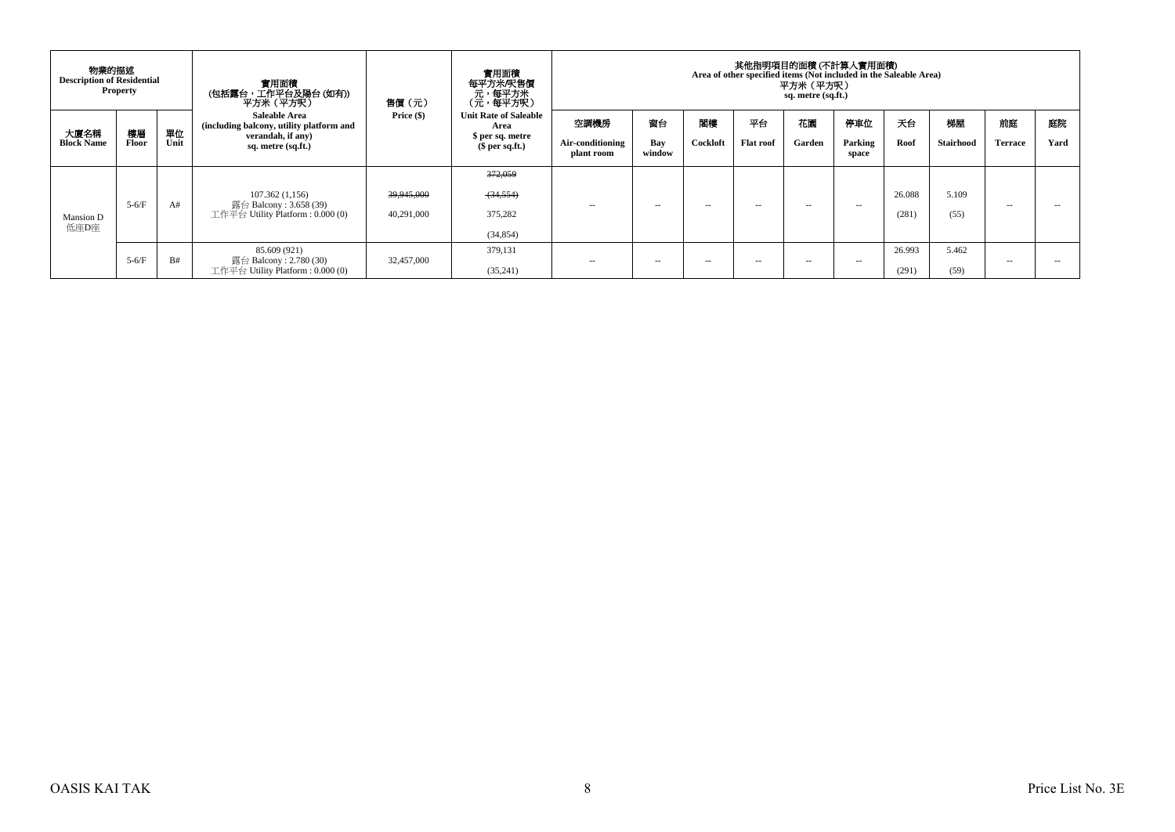|                           | 物業的描述<br><b>Description of Residential</b><br><b>Property</b> |            | 實用面積<br>(包括露台,工作平台及陽台(如有))<br>平方米 (平方呎)                                                                     | 售價(元)                    | 實用面積<br>每平方米/呎售價<br>、元,每平方米<br>(元,每平方呎)                                     | 其他指明項目的面積(不計算入實用面積)<br>Area of other specified items (Not included in the Saleable Area)<br>平方米 (平方呎)<br>sq. metre (sq.ft.) |                     |                |                        |               |                         |                 |                 |                      |            |  |  |  |
|---------------------------|---------------------------------------------------------------|------------|-------------------------------------------------------------------------------------------------------------|--------------------------|-----------------------------------------------------------------------------|-----------------------------------------------------------------------------------------------------------------------------|---------------------|----------------|------------------------|---------------|-------------------------|-----------------|-----------------|----------------------|------------|--|--|--|
| 大廈名稱<br><b>Block Name</b> | 樓層<br>Floor                                                   | 單位<br>Unit | <b>Saleable Area</b><br>(including balcony, utility platform and<br>verandah, if any)<br>sq. metre (sq.ft.) | Price $(\$)$             | <b>Unit Rate of Saleable</b><br>Area<br>\$ per sq. metre<br>$$$ per sq.ft.) | 空調機房<br>Air-conditioning<br>plant room                                                                                      | 窗台<br>Bay<br>window | 閣樓<br>Cockloft | 平台<br><b>Flat roof</b> | 花園<br>Garden  | 停車位<br>Parking<br>space | 天台<br>Roof      | 梯屋<br>Stairhood | 前庭<br><b>Terrace</b> | 庭院<br>Yard |  |  |  |
| Mansion D<br>低座D座         | $5-6/F$                                                       | A#         | 107.362(1,156)<br>露台 Balcony : 3.658 (39)<br>工作平台 Utility Platform : $0.000(0)$                             | 39,945,000<br>40,291,000 | 372,059<br>(34,554)<br>375,282<br>(34, 854)                                 | $\sim$ $-$                                                                                                                  | $\sim$              | $\sim$ $\sim$  | $\sim$ $-$             | $\sim$ $\sim$ | $\sim$ $-$              | 26.088<br>(281) | 5.109<br>(55)   | $\sim$ $-$           | --         |  |  |  |
|                           | $5-6/F$                                                       | B#         | 85.609 (921)<br>露台 Balcony : 2.780 (30)<br>工作平台 Utility Platform : $0.000(0)$                               | 32,457,000               | 379.131<br>(35,241)                                                         | $\sim$ $-$                                                                                                                  | $\sim$              | $\sim$ $\sim$  | $\sim$ $\sim$          | $\sim$        | $\sim$ $\sim$           | 26.993<br>(291) | 5.462<br>(59)   | $\sim$ $\sim$        |            |  |  |  |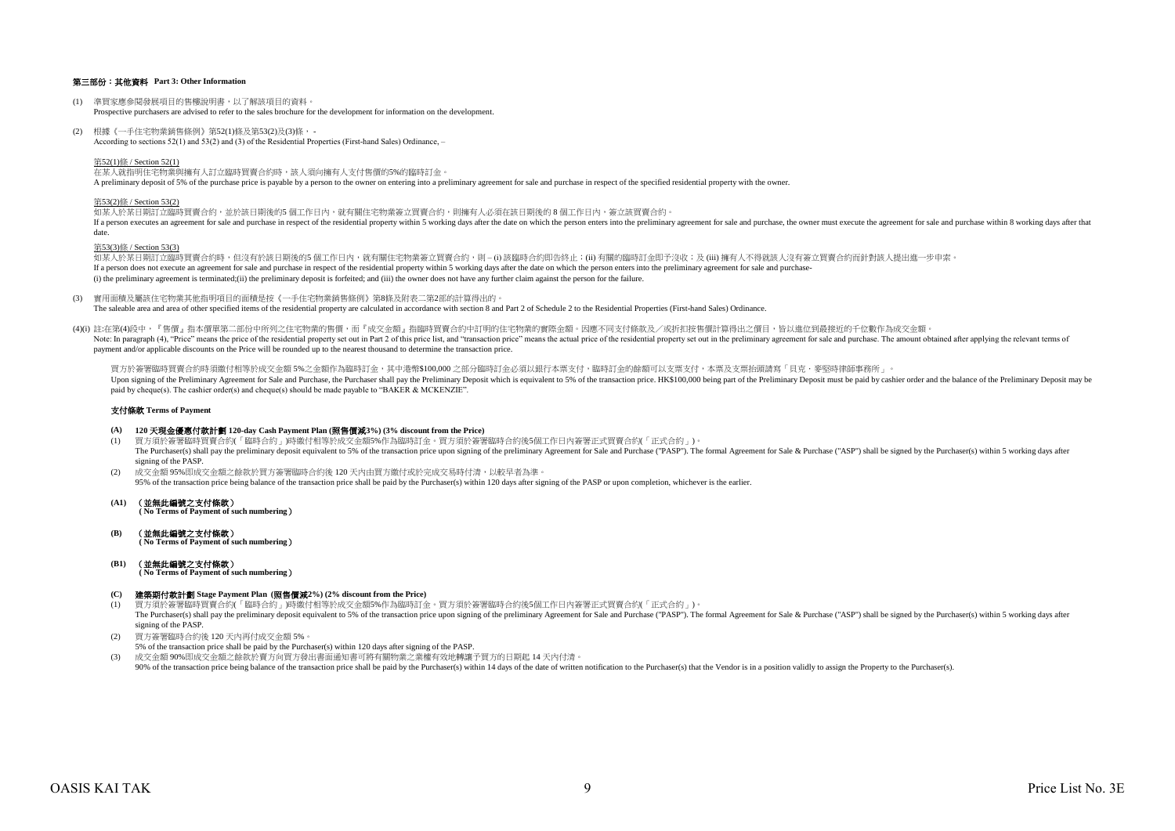# 第三部份:其他資料 **Part 3: Other Information**

- (1) 準買家應參閱發展項目的售樓說明書,以了解該項目的資料。 Prospective purchasers are advised to refer to the sales brochure for the development for information on the development.
- (2) 根據《一手住宅物業銷售條例》第52(1)條及第53(2)及(3)條, According to sections 52(1) and 53(2) and (3) of the Residential Properties (First-hand Sales) Ordinance, –

第52(1)條 / Section 52(1)

在某人就指明住宅物業與擁有人訂立臨時買賣合約時,該人須向擁有人支付售價的5%的臨時訂金。 A preliminary deposit of 5% of the purchase price is payable by a person to the owner on entering into a preliminary agreement for sale and purchase in respect of the specified residential property with the owner.

#### 第53(2)條 / Section 53(2)

如某人於某日期訂立臨時買賣合約,並於該日期後的5 個工作日內,就有關住宅物業簽立買賣合約,則擁有人必須在該日期後的 8 個工作日內, 簽立該買賣合約。 If a person executes an agreement for sale and purchase in respect of the residential property within 5 working days after the date on which the person enters into the preliminary agreement for sale and purchase, the owner date.

# 第53(3)條 / Section 53(3)

如某人於某日期訂立臨時買賣合約時,但沒有於該日期後的5 個工作日內,就有關住宅物業簽立買賣合約,則 – (i) 該臨時合約即告終止;(ii) 有關的臨時訂金即予沒收;及 (iii) 擁有人不得就該人沒有簽立買賣合約而針對該人提出進一步申索。 If a person does not execute an agreement for sale and purchase in respect of the residential property within 5 working days after the date on which the person enters into the preliminary agreement for sale and purchase-(i) the preliminary agreement is terminated;(ii) the preliminary deposit is forfeited; and (iii) the owner does not have any further claim against the person for the failure.

(3) 實用面積及屬該住宅物業其他指明項目的面積是按《一手住宅物業銷售條例》第8條及附表二第2部的計算得出的。

The saleable area and area of other specified items of the residential property are calculated in accordance with section 8 and Part 2 of Schedule 2 to the Residential Properties (First-hand Sales) Ordinance.

(4)(i) 註:在第(4)段中,『售價』指本價單第二部份中所列之住宅物業的售價,而『成交金額』指臨時買賣合約中訂明的住宅物業的實際金額。因應不同支付條款及/或折扣按售價計算得出之價目,皆以進位到最接近的千位數作為成交金額。 Note In paragraph (4) "Price" means the precidential price of the residential price of the residential price is and "transaction price" means the actual price is and "transaction price" means the actual price is and "trans payment and/or applicable discounts on the Price will be rounded up to the nearest thousand to determine the transaction price.

買方於签署臨時買賣会約時須繳付相等於成交金額 5%之金額作為臨時訂金,其中港憋\$100,000 之部分臨時訂金必須以銀行木票支付,臨時訂金的餘額可以支票支付,木票及支票抬頭請寫「貝克·麥堅時律師事務所」。 Upon signing of the Preliminary Agreement for Sale and Purchase, the Purchaser shall pay the Preliminary Deposit which is equivalent to 5% of the transaction price. HK\$100,000 being part of the Preliminary Deposit must be paid by cheque(s). The cashier order(s) and cheque(s) should be made payable to "BAKER & MCKENZIE".

# 支付條款 **Terms of Payment**

- **(A) 120** 天現金優惠付款計劃 **120-day Cash Payment Plan (**照售價減**3%) (3% discount from the Price)**
- (1) 買方須於簽署臨時買賣合約(「臨時合約」)時繳付相等於成交金額5%作為臨時訂金。買方須於簽署臨時合約後5個工作日內簽署正式買賣合約(「正式合約」)。 The Purchaser(s) shall pay the preliminary deposit equivalent to 5% of the transaction price upon signing of the preliminary Agreement for Sale and Purchase ("PASP"). The formal Agreement for Sale & Purchase ("ASP") shall signing of the PASP
- (2) 成交金額 95%即成交金額之餘款於買方簽署臨時合約後 120 天內由買方繳付或於完成交易時付清,以較早者為準。 95% of the transaction price being balance of the transaction price shall be paid by the Purchaser(s) within 120 days after signing of the PASP or upon completion, whichever is the earlier.
- **(A1)** (並無此編號之支付條款)  **( No Terms of Payment of such numbering**)

**(B)** (並無此編號之支付條款)  **( No Terms of Payment of such numbering**)

# **(B1)** (並無此編號之支付條款)

 **( No Terms of Payment of such numbering**)

#### **(C)** 建築期付款計劃 **Stage Payment Plan (**照售價減**2%) (2% discount from the Price)**

- (1) 買方須於簽署臨時買賣合約(「臨時合約」)時繳付相等於成交金額5%作為臨時訂金。買方須於簽署臨時合約後5個工作日內簽署正式買賣合約(「正式合約」)。 The Purchaser(s) shall pay the preliminary deposit equivalent to 5% of the transaction price upon signing of the preliminary Agreement for Sale and Purchase ("PASP"). The formal Agreement for Sale & Purchase ("ASP") shall signing of the PASP.
- (2) 買方簽署臨時合約後 120 天內再付成交金額 5%。
- 5% of the transaction price shall be paid by the Purchaser(s) within 120 days after signing of the PASP.
- (3) 成交金額 90%即成交金額之餘款於賣方向買方發出書面通知書可將有關物業之業權有效地轉讓予買方的日期起 14 天內付清。 90% of the transaction price being balance of the transaction price shall be paid by the Purchaser(s) within 14 days of the date of written notification to the Purchaser(s) that the Vendor is in a position validly to assig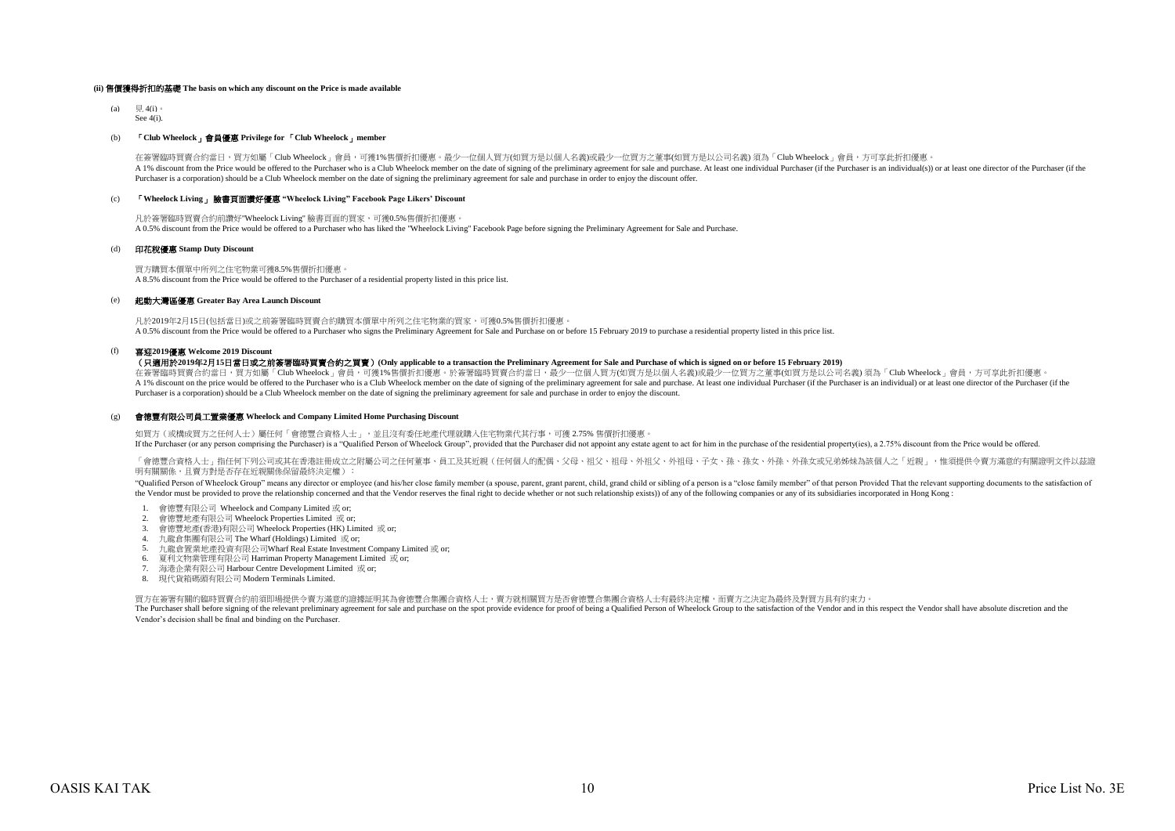#### **(ii)** 售價獲得折扣的基礎 **The basis on which any discount on the Price is made available**

(a)  $\boxplus$  4(i)。  $S_{\alpha\alpha}$   $A(i)$ .

# (b) 「**Club Wheelock**」會員優惠 **Privilege for** 「**Club Wheelock**」**member**

在簽署臨時買賣合約當日,買方如屬「Club Wheelock」會員,可獲1%售價折扣優惠。最少一位個人買方(如買方是以個人名義)或最少一位買方之董事(如買方是以公司名義) 須為「Club Wheelock」會員,方可享此折扣優惠 A 1% discount from the Price would be offered to the Purchaser who is a Club Wheelock member on the date of signing of the preliminary agreement for sale and purchase. At least one individual Purchaser (if the Purchaser is Purchaser is a corporation) should be a Club Wheelock member on the date of signing the preliminary agreement for sale and purchase in order to enjoy the discount offer.

# (c) 「**Wheelock Living**」 臉書頁面讚好優惠 **"Wheelock Living" Facebook Page Likers' Discount**

凡於簽署臨時買賣合約前讚好"Wheelock Living" 臉書頁面的買家,可獲0.5%售價折扣優惠。  $\lambda$  0.5% discount from the Price would be offered to a Purchaser who has liked the "Wheelock Living" Facebook Page before signing the Preliminary Agreement for Sale and Purchase.

#### (d) 印花稅優惠 **Stamp Duty Discount**

買方購買本價單中所列之住宅物業可獲8.5%售價折扣優惠。 A 8.5% discount from the Price would be offered to the Purchaser of a residential property listed in this price list.

# (e) 起動大灣區優惠 **Greater Bay Area Launch Discount**

凡於2019年2月15日(包括當日)或之前簽署臨時買賣合約購買本價單中所列之住宅物業的買家,可獲0.5%售價折扣優惠。 A 0.5% discount from the Price would be offered to a Purchaser who signs the Preliminary Agreement for Sale and Purchase on or before 15 February 2019 to purchase a residential property listed in this price list.

# (f) 喜迎**2019**優惠 **Welcome 2019 Discount**

# (只適用於**2019**年**2**月**15**日當日或之前簽署臨時買賣合約之買賣)**(Only applicable to a transaction the Preliminary Agreement for Sale and Purchase of which is signed on or before 15 February 2019)**

在簽署臨時買賣合約當日,買方如屬「Club Wheelock」會員,可獲1%售價折扣優惠。於簽署臨時買賣合約當日,最少一位個人買方(如買方是以個人名義)或最少一位買方之董事(如買方是以公司名義)須為「Club Wheelock」會員,方可享此折扣優惠。 A 1% discount on the price would be offered to the Purchaser who is a Club Wheelock member on the date of signing of the preliminary agreement for sale and purchase. At least one individual Purchaser (if the Purchaser is a Purchaser is a corporation) should be a Club Wheelock member on the date of signing the preliminary agreement for sale and purchase in order to enjoy the discount.

#### (g) 會德豐有限公司員工置業優惠 **Wheelock and Company Limited Home Purchasing Discount**

如買方(或構成買方之任何人士)屬任何「會德豐合資格人士」,並且沒有委任地產代理就購入住宅物業代其行事,可獲 2.75% 售價折扣優惠。

If the Purchaser (or any person comprising the Purchaser) is a "Qualified Person of Wheelock Group", provided that the Purchaser did not appoint any estate agent to act for him in the purchase of the residential property(i

「會德豐合資格人士」指任何下列公司或其在香港註冊成立之附屬公司之任何董事、員工及其近親(任何個人的配偶、父母、祖父、祖母、外祖父、外祖母、子女、孫、孫女、外孫、外孫女或兄弟姊妹為該個人之「近親」,惟須提供令賣方滿意的有關證明文件以茲證 明有關關係,日賣方對是否存在近親關係保留最終決定權):

"Qualified Person of Wheelock Group" means any director or employee (and his/her close family member (a spouse, parent, grant parent, child, grand child or sibling of a person is a "close family member" of that person Prov the Vendor must be provided to prove the relationship concerned and that the Vendor reserves the final right to decide whether or not such relationship exists)) of any of the following companies or any of its subsidiaries

- 1. 會德豐有限公司 Wheelock and Company Limited 或 or;
- 2. 會德豐地產有限公司 Wheelock Properties Limited 或 or;
- 3. 會德豐地產(香港)有限公司 Wheelock Properties (HK) Limited 或 or;
- 4. 九龍倉集團有限公司 The Wharf (Holdings) Limited 或 or;
- 5. 九龍倉置業地產投資有限公司Wharf Real Estate Investment Company Limited 或 or;
- 6. 夏利文物業管理有限公司 Harriman Property Management Limited 或 or;
- 7. 海港企業有限公司 Harbour Centre Development Limited 或 or;
- 8. 現代貨箱碼頭有限公司 Modern Terminals Limited.

買方在簽署有關的臨時買賣合約前須即場提供令賣方滿意的證據証明其為會德豐合集團合資格人士,賣方就相關買方是否會德豐合集團合資格人士有最終決定權,而賣方之決定為最終及對買方具有約束力。

The Purchaser shall before signing of the relevant preliminary agreement for sale and purchase on the spot provide evidence for proof of being a Qualified Person of Wheelock Group to the satisfaction of the Vendor and in t Vendor's decision shall be final and binding on the Purchaser.